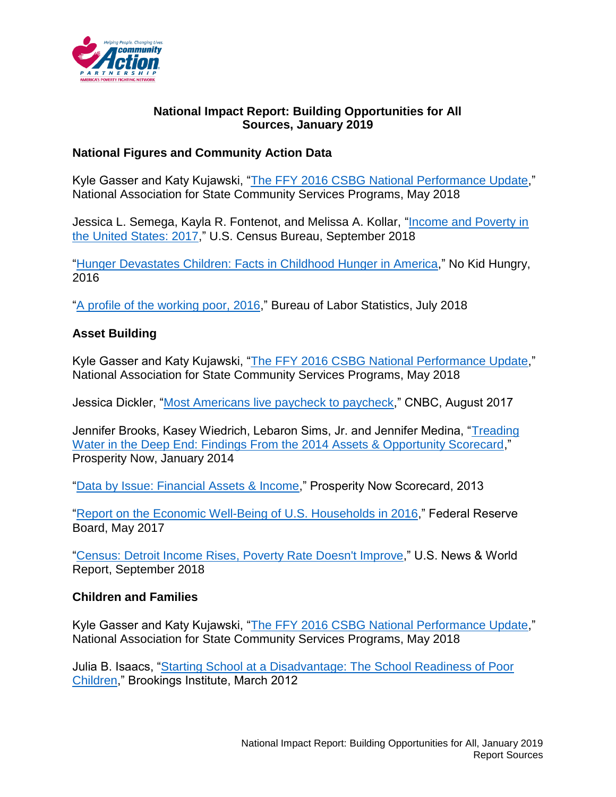

### **National Impact Report: Building Opportunities for All Sources, January 2019**

# **National Figures and Community Action Data**

Kyle Gasser and Katy Kujawski, ["The FFY 2016 CSBG National Performance Update,](https://nascsp.org/wp-content/uploads/2018/06/FFY-2016-National-Performance-Update_FINAL-WEB_05_16_2018.pdf)" National Association for State Community Services Programs, May 2018

Jessica L. Semega, Kayla R. Fontenot, and Melissa A. Kollar, ["Income and Poverty in](https://www.census.gov/content/dam/Census/library/publications/2018/demo/p60-263.pdf)  [the United States: 2017,](https://www.census.gov/content/dam/Census/library/publications/2018/demo/p60-263.pdf)" U.S. Census Bureau, September 2018

["Hunger Devastates Children: Facts in Childhood Hunger in America,](https://www.nokidhungry.org/sites/default/files/2017-12/Fact_Sheet-2016.pdf)" No Kid Hungry, 2016

["A profile of the working poor, 2016,](https://www.bls.gov/opub/reports/working-poor/2016/home.htm)" Bureau of Labor Statistics, July 2018

### **Asset Building**

Kyle Gasser and Katy Kujawski, ["The FFY 2016 CSBG National Performance Update,](https://nascsp.org/wp-content/uploads/2018/06/FFY-2016-National-Performance-Update_FINAL-WEB_05_16_2018.pdf)" National Association for State Community Services Programs, May 2018

Jessica Dickler, ["Most Americans live paycheck to paycheck,](https://www.cnbc.com/2017/08/24/most-americans-live-paycheck-to-paycheck.html)" CNBC, August 2017

Jennifer Brooks, Kasey Wiedrich, Lebaron Sims, Jr. and Jennifer Medina, "Treading [Water in the Deep End: Findings From the 2014 Assets & Opportunity Scorecard,](https://prosperitynow.org/files/PDFs/2014_Scorecard_Report.pdf)" Prosperity Now, January 2014

["Data by Issue: Financial Assets & Income,](http://scorecard.prosperitynow.org/data-by-issue#finance/outcome/asset-poverty-rate)" Prosperity Now Scorecard, 2013

["Report on the Economic Well-Being of U.S. Households in 2016,](https://www.federalreserve.gov/publications/files/2016-report-economic-well-being-us-households-201705.pdf)" Federal Reserve Board, May 2017

["Census: Detroit Income Rises, Poverty Rate Doesn't Improve,](https://www.usnews.com/news/best-states/michigan/articles/2018-09-13/census-detroit-income-rises-poverty-rate-doesnt-improve)" U.S. News & World Report, September 2018

### **Children and Families**

Kyle Gasser and Katy Kujawski, ["The FFY 2016 CSBG National Performance Update,](https://nascsp.org/wp-content/uploads/2018/06/FFY-2016-National-Performance-Update_FINAL-WEB_05_16_2018.pdf)" National Association for State Community Services Programs, May 2018

Julia B. Isaacs, "Starting School [at a Disadvantage: The School Readiness of Poor](https://www.brookings.edu/wp-content/uploads/2016/06/0319_school_disadvantage_isaacs.pdf)  [Children,](https://www.brookings.edu/wp-content/uploads/2016/06/0319_school_disadvantage_isaacs.pdf)" Brookings Institute, March 2012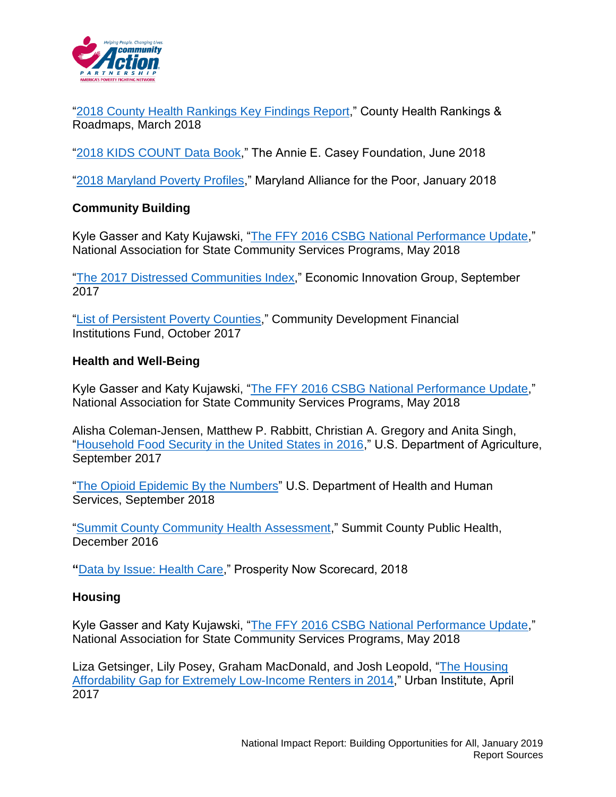

["2018 County Health Rankings Key Findings Report,](http://www.countyhealthrankings.org/explore-health-rankings/rankings-reports/2018-county-health-rankings-key-findings-report)" County Health Rankings & Roadmaps, March 2018

["2018 KIDS COUNT Data Book,](https://www.aecf.org/m/resourcedoc/aecf-2018kidscountdatabook-2018.pdf)" The Annie E. Casey Foundation, June 2018

["2018 Maryland Poverty Profiles,](http://mapadvocacy.org/wp-content/uploads/2018/01/Maryland-Poverty-Profiles_2018_1-15-2018_T.pdf)" Maryland Alliance for the Poor, January 2018

# **Community Building**

Kyle Gasser and Katy Kujawski, ["The FFY 2016 CSBG National Performance Update,](https://nascsp.org/wp-content/uploads/2018/06/FFY-2016-National-Performance-Update_FINAL-WEB_05_16_2018.pdf)" National Association for State Community Services Programs, May 2018

["The 2017 Distressed Communities Index,](https://eig.org/wp-content/uploads/2017/09/2017-Distressed-Communities-Index.pdf)" Economic Innovation Group, September 2017

["List of Persistent Poverty Counties,](https://www.cdfifund.gov/Documents/PPC%20updated%20Oct.2017.xlsx)" Community Development Financial Institutions Fund, October 2017

### **Health and Well-Being**

Kyle Gasser and Katy Kujawski, ["The FFY 2016 CSBG National Performance Update,](https://nascsp.org/wp-content/uploads/2018/06/FFY-2016-National-Performance-Update_FINAL-WEB_05_16_2018.pdf)" National Association for State Community Services Programs, May 2018

Alisha Coleman-Jensen, Matthew P. Rabbitt, Christian A. Gregory and Anita Singh, ["Household Food Security in the United States in 2016,](https://www.ers.usda.gov/webdocs/publications/84973/err-237.pdf?v=0)" U.S. Department of Agriculture, September 2017

["The Opioid Epidemic By the Numbers"](https://www.hhs.gov/opioids/sites/default/files/2018-09/opioids-infographic.pdf) U.S. Department of Health and Human Services, September 2018

["Summit County Community Health Assessment,](https://www.scph.org/sites/default/files/editor/RPT/CHA121616_upd0618.pdf)" Summit County Public Health, December 2016

**"**[Data by Issue: Health Care,](http://scorecard.prosperitynow.org/data-by-issue#health/outcome/uninsured-rate)" Prosperity Now Scorecard, 2018

### **Housing**

Kyle Gasser and Katy Kujawski, ["The FFY 2016 CSBG National Performance Update,](https://nascsp.org/wp-content/uploads/2018/06/FFY-2016-National-Performance-Update_FINAL-WEB_05_16_2018.pdf)" National Association for State Community Services Programs, May 2018

Liza Getsinger, Lily Posey, Graham MacDonald, and Josh Leopold, ["The Housing](http://www.urban.org/sites/default/files/publication/89921/gap_map_report.pdf)  [Affordability Gap for Extremely Low-Income Renters in 2014,](http://www.urban.org/sites/default/files/publication/89921/gap_map_report.pdf)" Urban Institute, April 2017